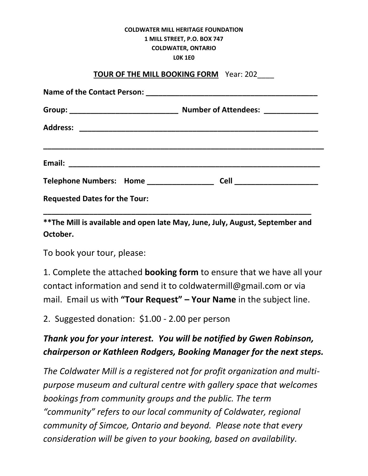## **COLDWATER MILL HERITAGE FOUNDATION 1 MILL STREET, P.O. BOX 747 COLDWATER, ONTARIO L0K 1E0**

## **TOUR OF THE MILL BOOKING FORM** Year: 202\_\_\_\_

| <b>Requested Dates for the Tour:</b> |  |  |
|--------------------------------------|--|--|

**\*\*The Mill is available and open late May, June, July, August, September and October.** 

**\_\_\_\_\_\_\_\_\_\_\_\_\_\_\_\_\_\_\_\_\_\_\_\_\_\_\_\_\_\_\_\_\_\_\_\_\_\_\_\_\_\_\_\_\_\_\_\_\_\_\_\_\_\_\_\_\_\_\_\_\_\_\_\_**

To book your tour, please:

1. Complete the attached **booking form** to ensure that we have all your contact information and send it to coldwatermill@gmail.com or via mail. Email us with **"Tour Request" – Your Name** in the subject line.

2. Suggested donation: \$1.00 - 2.00 per person

## *Thank you for your interest. You will be notified by Gwen Robinson, chairperson or Kathleen Rodgers, Booking Manager for the next steps.*

*The Coldwater Mill is a registered not for profit organization and multipurpose museum and cultural centre with gallery space that welcomes bookings from community groups and the public. The term "community" refers to our local community of Coldwater, regional community of Simcoe, Ontario and beyond. Please note that every consideration will be given to your booking, based on availability.*